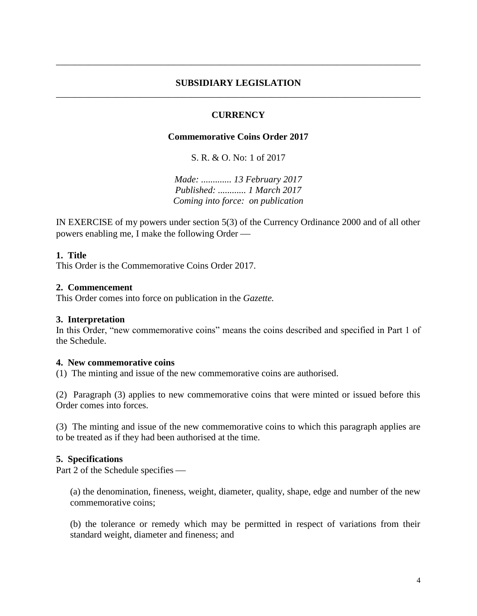## **SUBSIDIARY LEGISLATION** \_\_\_\_\_\_\_\_\_\_\_\_\_\_\_\_\_\_\_\_\_\_\_\_\_\_\_\_\_\_\_\_\_\_\_\_\_\_\_\_\_\_\_\_\_\_\_\_\_\_\_\_\_\_\_\_\_\_\_\_\_\_\_\_\_\_\_\_\_\_\_\_\_\_\_\_\_\_

\_\_\_\_\_\_\_\_\_\_\_\_\_\_\_\_\_\_\_\_\_\_\_\_\_\_\_\_\_\_\_\_\_\_\_\_\_\_\_\_\_\_\_\_\_\_\_\_\_\_\_\_\_\_\_\_\_\_\_\_\_\_\_\_\_\_\_\_\_\_\_\_\_\_\_\_\_\_

# **CURRENCY**

## **Commemorative Coins Order 2017**

S. R. & O. No: 1 of 2017

*Made: ............. 13 February 2017 Published: ............ 1 March 2017 Coming into force: on publication*

IN EXERCISE of my powers under section 5(3) of the Currency Ordinance 2000 and of all other powers enabling me, I make the following Order

### **1. Title**

This Order is the Commemorative Coins Order 2017.

### **2. Commencement**

This Order comes into force on publication in the *Gazette.*

#### **3. Interpretation**

In this Order, "new commemorative coins" means the coins described and specified in Part 1 of the Schedule.

#### **4. New commemorative coins**

(1) The minting and issue of the new commemorative coins are authorised.

(2) Paragraph (3) applies to new commemorative coins that were minted or issued before this Order comes into forces.

(3) The minting and issue of the new commemorative coins to which this paragraph applies are to be treated as if they had been authorised at the time.

#### **5. Specifications**

Part 2 of the Schedule specifies

(a) the denomination, fineness, weight, diameter, quality, shape, edge and number of the new commemorative coins;

(b) the tolerance or remedy which may be permitted in respect of variations from their standard weight, diameter and fineness; and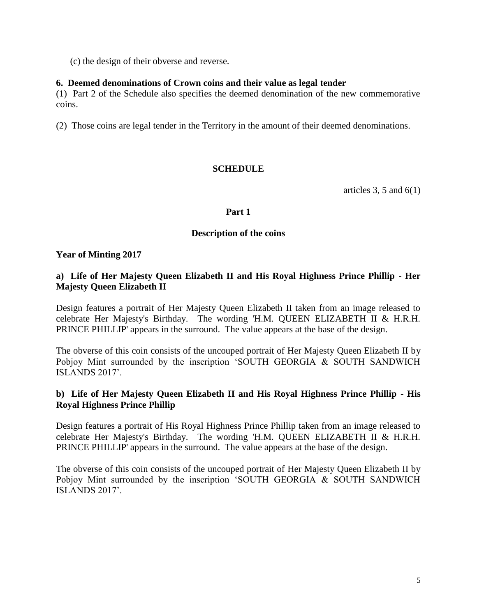(c) the design of their obverse and reverse.

## **6. Deemed denominations of Crown coins and their value as legal tender**

(1) Part 2 of the Schedule also specifies the deemed denomination of the new commemorative coins.

(2) Those coins are legal tender in the Territory in the amount of their deemed denominations.

# **SCHEDULE**

articles 3, 5 and  $6(1)$ 

#### **Part 1**

### **Description of the coins**

### **Year of Minting 2017**

# **a) Life of Her Majesty Queen Elizabeth II and His Royal Highness Prince Phillip - Her Majesty Queen Elizabeth II**

Design features a portrait of Her Majesty Queen Elizabeth II taken from an image released to celebrate Her Majesty's Birthday. The wording 'H.M. QUEEN ELIZABETH II & H.R.H. PRINCE PHILLIP' appears in the surround. The value appears at the base of the design.

The obverse of this coin consists of the uncouped portrait of Her Majesty Queen Elizabeth II by Pobjoy Mint surrounded by the inscription 'SOUTH GEORGIA & SOUTH SANDWICH ISLANDS 2017'.

# **b) Life of Her Majesty Queen Elizabeth II and His Royal Highness Prince Phillip - His Royal Highness Prince Phillip**

Design features a portrait of His Royal Highness Prince Phillip taken from an image released to celebrate Her Majesty's Birthday. The wording 'H.M. QUEEN ELIZABETH II & H.R.H. PRINCE PHILLIP' appears in the surround. The value appears at the base of the design.

The obverse of this coin consists of the uncouped portrait of Her Majesty Queen Elizabeth II by Pobjoy Mint surrounded by the inscription 'SOUTH GEORGIA & SOUTH SANDWICH ISLANDS 2017'.